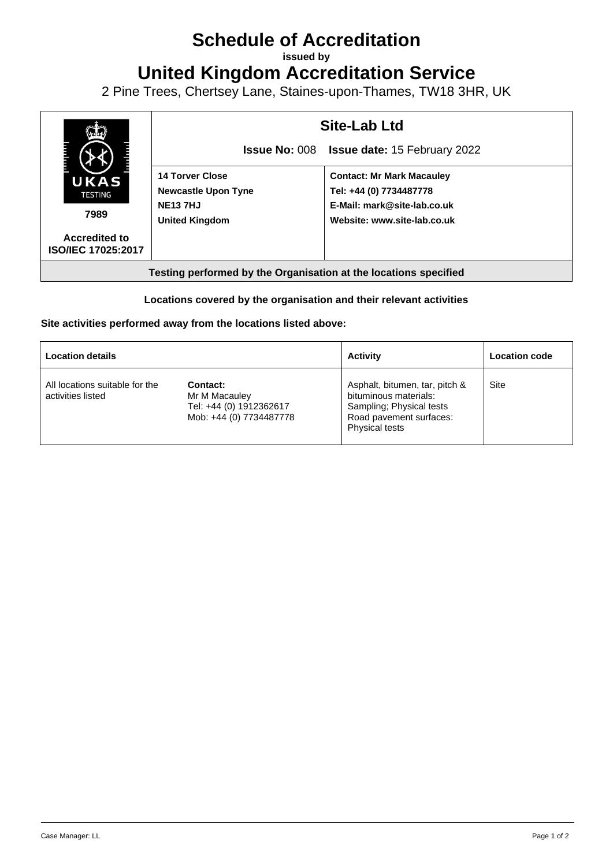## **Schedule of Accreditation**

**issued by**

**United Kingdom Accreditation Service**

2 Pine Trees, Chertsey Lane, Staines-upon-Thames, TW18 3HR, UK



## **Locations covered by the organisation and their relevant activities**

## **Site activities performed away from the locations listed above:**

| <b>Location details</b>                             |                                                                                 | <b>Activity</b>                                                                                                                         | Location code |
|-----------------------------------------------------|---------------------------------------------------------------------------------|-----------------------------------------------------------------------------------------------------------------------------------------|---------------|
| All locations suitable for the<br>activities listed | Contact:<br>Mr M Macauley<br>Tel: +44 (0) 1912362617<br>Mob: +44 (0) 7734487778 | Asphalt, bitumen, tar, pitch &<br>bituminous materials:<br>Sampling; Physical tests<br>Road pavement surfaces:<br><b>Physical tests</b> | Site          |